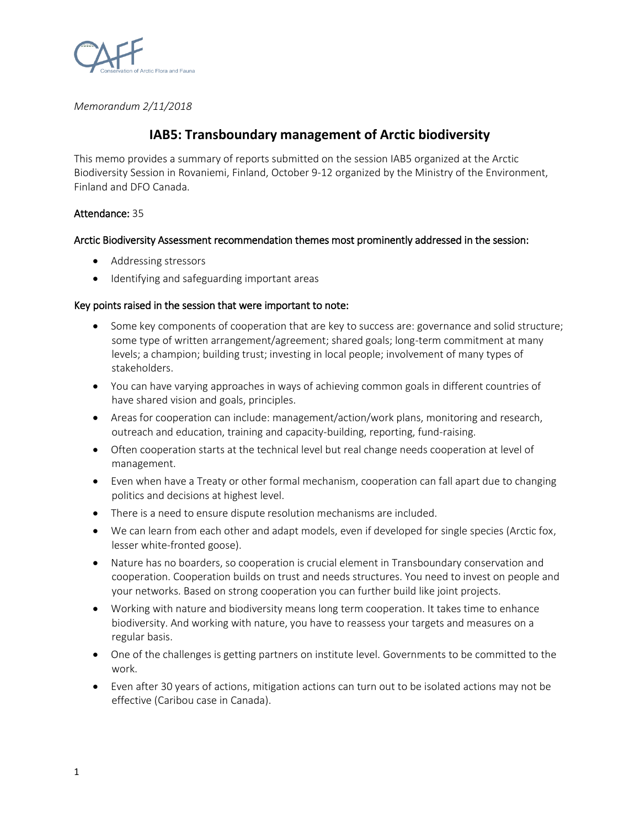

*Memorandum 2/11/2018*

# **IAB5: Transboundary management of Arctic biodiversity**

This memo provides a summary of reports submitted on the session IAB5 organized at the Arctic Biodiversity Session in Rovaniemi, Finland, October 9-12 organized by the Ministry of the Environment, Finland and DFO Canada.

### Attendance: 35

### Arctic Biodiversity Assessment recommendation themes most prominently addressed in the session:

- Addressing stressors
- Identifying and safeguarding important areas

### Key points raised in the session that were important to note:

- Some key components of cooperation that are key to success are: governance and solid structure; some type of written arrangement/agreement; shared goals; long-term commitment at many levels; a champion; building trust; investing in local people; involvement of many types of stakeholders.
- You can have varying approaches in ways of achieving common goals in different countries of have shared vision and goals, principles.
- Areas for cooperation can include: management/action/work plans, monitoring and research, outreach and education, training and capacity-building, reporting, fund-raising.
- Often cooperation starts at the technical level but real change needs cooperation at level of management.
- Even when have a Treaty or other formal mechanism, cooperation can fall apart due to changing politics and decisions at highest level.
- There is a need to ensure dispute resolution mechanisms are included.
- We can learn from each other and adapt models, even if developed for single species (Arctic fox, lesser white-fronted goose).
- Nature has no boarders, so cooperation is crucial element in Transboundary conservation and cooperation. Cooperation builds on trust and needs structures. You need to invest on people and your networks. Based on strong cooperation you can further build like joint projects.
- Working with nature and biodiversity means long term cooperation. It takes time to enhance biodiversity. And working with nature, you have to reassess your targets and measures on a regular basis.
- One of the challenges is getting partners on institute level. Governments to be committed to the work.
- Even after 30 years of actions, mitigation actions can turn out to be isolated actions may not be effective (Caribou case in Canada).